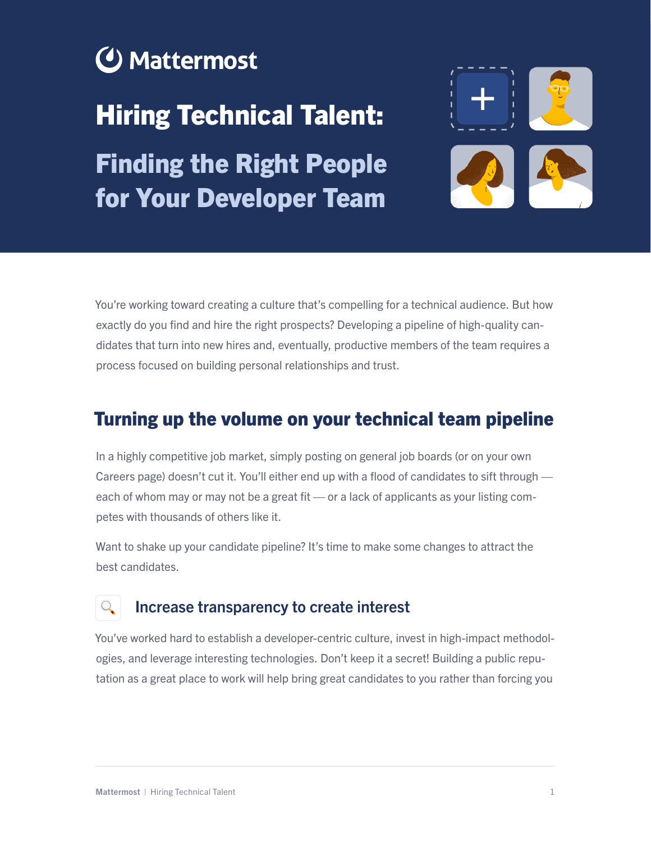# **⊙** Mattermost

# Hiring Technical Talent:

Finding the Right People for Your Developer Team



You're working toward creating a culture that's compelling for a technical audience. But how exactly do you find and hire the right prospects? Developing a pipeline of high-quality candidates that turn into new hires and, eventually, productive members of the team requires a process focused on building personal relationships and trust.

## Turning up the volume on your technical team pipeline

In a highly competitive job market, simply posting on general job boards (or on your own Careers page) doesn't cut it. You'll either end up with a flood of candidates to sift through each of whom may or may not be a great fit — or a lack of applicants as your listing competes with thousands of others like it.

Want to shake up your candidate pipeline? It's time to make some changes to attract the best candidates.

### Increase transparency to create interest

You've worked hard to establish a developer-centric culture, invest in high-impact methodologies, and leverage interesting technologies. Don't keep it a secret! Building a public reputation as a great place to work will help bring great candidates to you rather than forcing you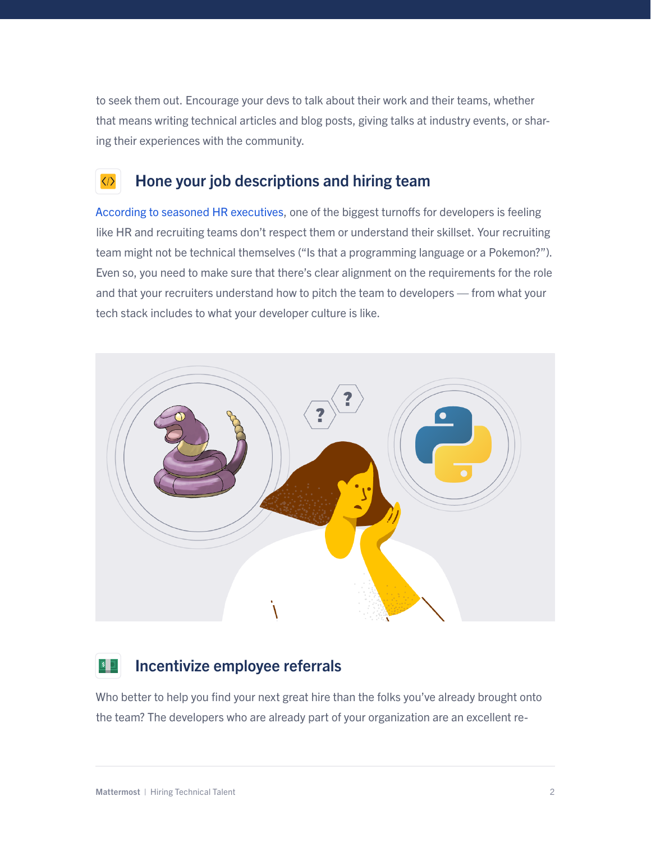to seek them out. Encourage your devs to talk about their work and their teams, whether that means writing technical articles and blog posts, giving talks at industry events, or sharing their experiences with the community.

#### $\langle \rangle$ Hone your job descriptions and hiring team

[According to seasoned HR executives,](https://www.infoworld.com/article/3533556/5-tips-for-finding-and-keeping-top-developer-talent.html) one of the biggest turnoffs for developers is feeling like HR and recruiting teams don't respect them or understand their skillset. Your recruiting team might not be technical themselves ("Is that a programming language or a Pokemon?"). Even so, you need to make sure that there's clear alignment on the requirements for the role and that your recruiters understand how to pitch the team to developers — from what your tech stack includes to what your developer culture is like.



#### Incentivize employee referrals  $|\mathsf{s}|$

Who better to help you find your next great hire than the folks you've already brought onto the team? The developers who are already part of your organization are an excellent re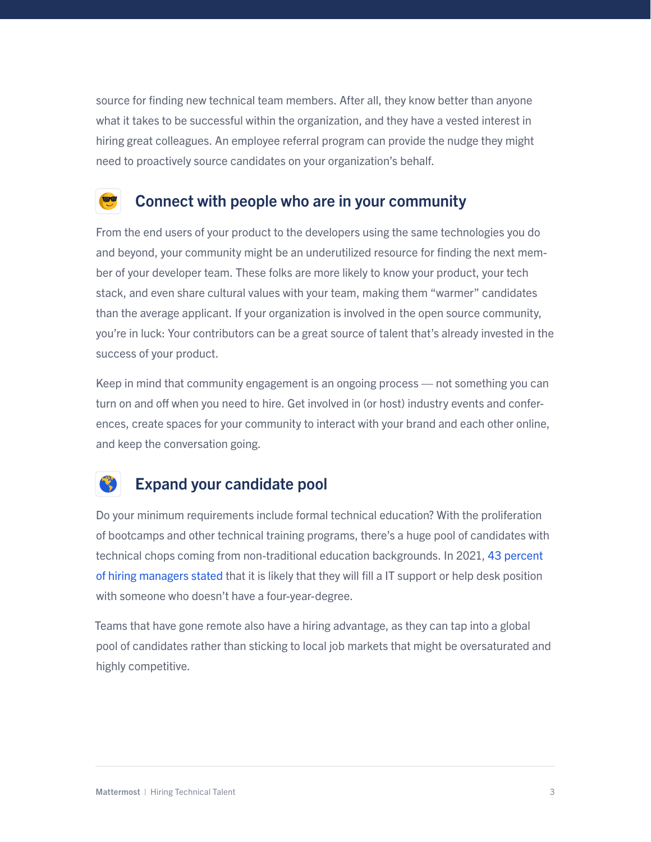source for finding new technical team members. After all, they know better than anyone what it takes to be successful within the organization, and they have a vested interest in hiring great colleagues. An employee referral program can provide the nudge they might need to proactively source candidates on your organization's behalf.

### Connect with people who are in your community

From the end users of your product to the developers using the same technologies you do and beyond, your community might be an underutilized resource for finding the next member of your developer team. These folks are more likely to know your product, your tech stack, and even share cultural values with your team, making them "warmer" candidates than the average applicant. If your organization is involved in the open source community, you're in luck: Your contributors can be a great source of talent that's already invested in the success of your product.

Keep in mind that community engagement is an ongoing process — not something you can turn on and off when you need to hire. Get involved in (or host) industry events and conferences, create spaces for your community to interact with your brand and each other online, and keep the conversation going.

### Expand your candidate pool

Do your minimum requirements include formal technical education? With the proliferation of bootcamps and other technical training programs, there's a huge pool of candidates with technical chops coming from non-traditional education backgrounds. In 2021, [43 percent](https://www.statista.com/statistics/1234815/us-tech-hiring-consideration-degree-holder/)  [of hiring managers stated](https://www.statista.com/statistics/1234815/us-tech-hiring-consideration-degree-holder/) that it is likely that they will fill a IT support or help desk position with someone who doesn't have a four-year-degree.

Teams that have gone remote also have a hiring advantage, as they can tap into a global pool of candidates rather than sticking to local job markets that might be oversaturated and highly competitive.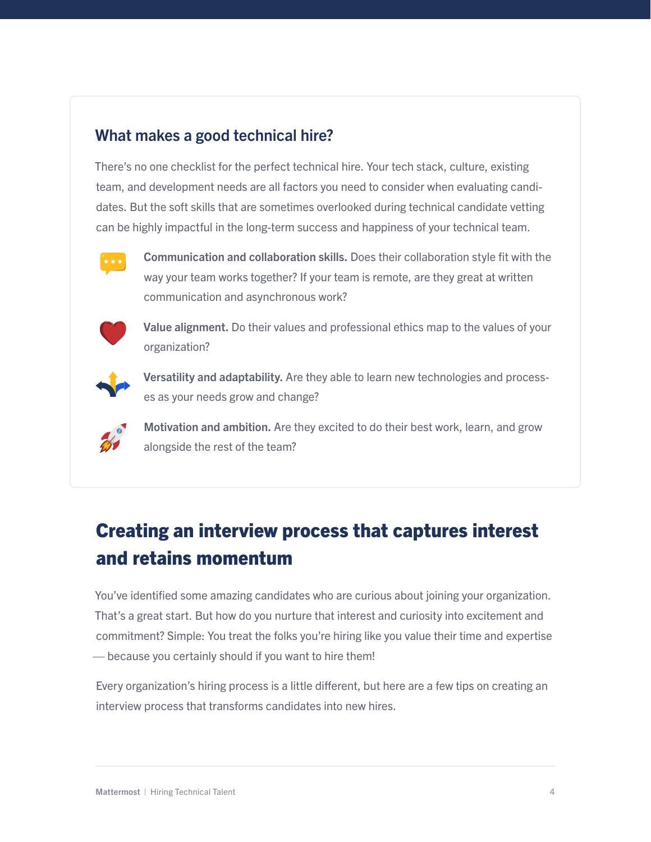#### What makes a good technical hire?

There's no one checklist for the perfect technical hire. Your tech stack, culture, existing team, and development needs are all factors you need to consider when evaluating candidates. But the soft skills that are sometimes overlooked during technical candidate vetting can be highly impactful in the long-term success and happiness of your technical team.



Communication and collaboration skills. Does their collaboration style fit with the way your team works together? If your team is remote, are they great at written communication and asynchronous work?



Value alignment. Do their values and professional ethics map to the values of your organization?



Versatility and adaptability. Are they able to learn new technologies and processes as your needs grow and change?



Motivation and ambition. Are they excited to do their best work, learn, and grow alongside the rest of the team?

# Creating an interview process that captures interest and retains momentum

You've identified some amazing candidates who are curious about joining your organization. That's a great start. But how do you nurture that interest and curiosity into excitement and commitment? Simple: You treat the folks you're hiring like you value their time and expertise — because you certainly should if you want to hire them!

Every organization's hiring process is a little different, but here are a few tips on creating an interview process that transforms candidates into new hires.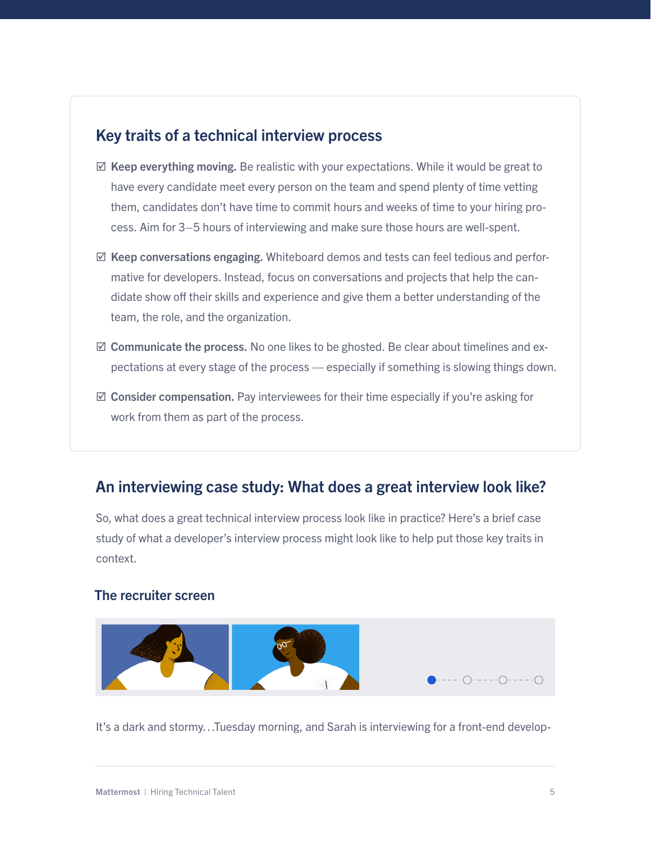#### Key traits of a technical interview process

- $\boxtimes$  Keep everything moving. Be realistic with your expectations. While it would be great to have every candidate meet every person on the team and spend plenty of time vetting them, candidates don't have time to commit hours and weeks of time to your hiring process. Aim for 3–5 hours of interviewing and make sure those hours are well-spent.
- $\boxtimes$  Keep conversations engaging. Whiteboard demos and tests can feel tedious and performative for developers. Instead, focus on conversations and projects that help the candidate show off their skills and experience and give them a better understanding of the team, the role, and the organization.
- $\boxtimes$  Communicate the process. No one likes to be ghosted. Be clear about timelines and expectations at every stage of the process — especially if something is slowing things down.
- $\boxtimes$  Consider compensation. Pay interviewees for their time especially if you're asking for work from them as part of the process.

### An interviewing case study: What does a great interview look like?

So, what does a great technical interview process look like in practice? Here's a brief case study of what a developer's interview process might look like to help put those key traits in context.

#### The recruiter screen



It's a dark and stormy…Tuesday morning, and Sarah is interviewing for a front-end develop-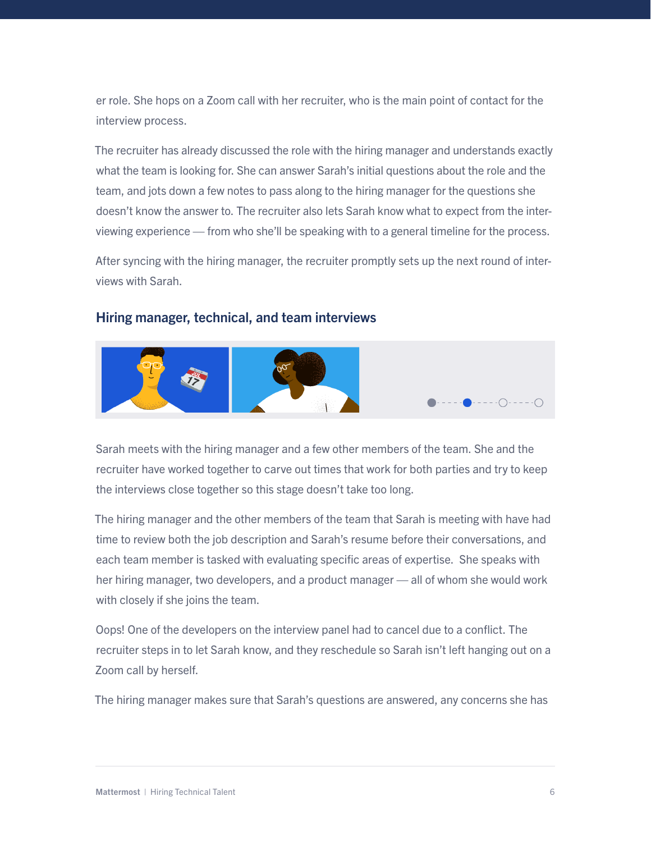er role. She hops on a Zoom call with her recruiter, who is the main point of contact for the interview process.

The recruiter has already discussed the role with the hiring manager and understands exactly what the team is looking for. She can answer Sarah's initial questions about the role and the team, and jots down a few notes to pass along to the hiring manager for the questions she doesn't know the answer to. The recruiter also lets Sarah know what to expect from the interviewing experience — from who she'll be speaking with to a general timeline for the process.

After syncing with the hiring manager, the recruiter promptly sets up the next round of interviews with Sarah.

#### Hiring manager, technical, and team interviews



Sarah meets with the hiring manager and a few other members of the team. She and the recruiter have worked together to carve out times that work for both parties and try to keep the interviews close together so this stage doesn't take too long.

The hiring manager and the other members of the team that Sarah is meeting with have had time to review both the job description and Sarah's resume before their conversations, and each team member is tasked with evaluating specific areas of expertise. She speaks with her hiring manager, two developers, and a product manager — all of whom she would work with closely if she joins the team.

Oops! One of the developers on the interview panel had to cancel due to a conflict. The recruiter steps in to let Sarah know, and they reschedule so Sarah isn't left hanging out on a Zoom call by herself.

The hiring manager makes sure that Sarah's questions are answered, any concerns she has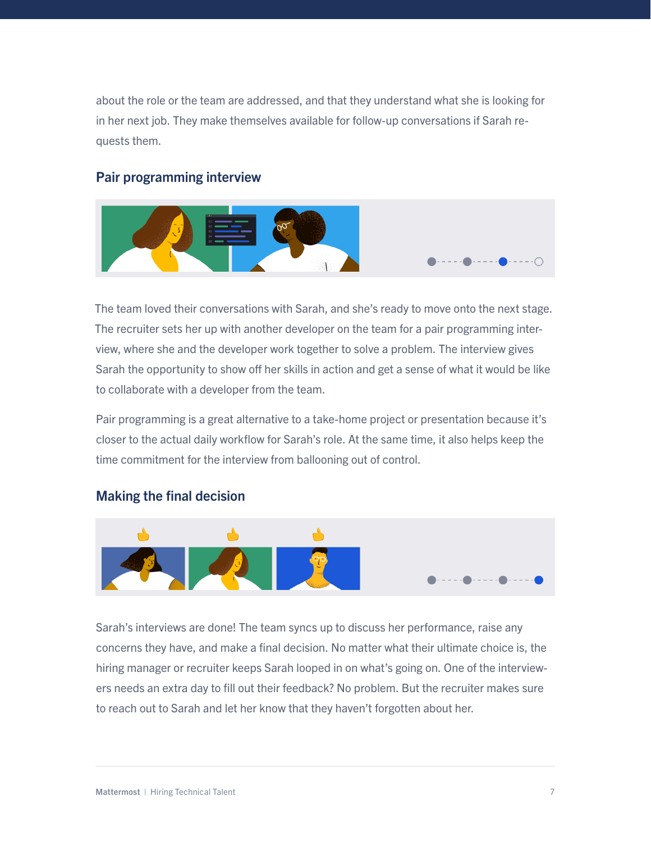about the role or the team are addressed, and that they understand what she is looking for in her next job. They make themselves available for follow-up conversations if Sarah requests them.

#### Pair programming interview



The team loved their conversations with Sarah, and she's ready to move onto the next stage. The recruiter sets her up with another developer on the team for a pair programming interview, where she and the developer work together to solve a problem. The interview gives Sarah the opportunity to show off her skills in action and get a sense of what it would be like to collaborate with a developer from the team.

Pair programming is a great alternative to a take-home project or presentation because it's closer to the actual daily workflow for Sarah's role. At the same time, it also helps keep the time commitment for the interview from ballooning out of control.

#### Making the final decision



Sarah's interviews are done! The team syncs up to discuss her performance, raise any concerns they have, and make a final decision. No matter what their ultimate choice is, the hiring manager or recruiter keeps Sarah looped in on what's going on. One of the interviewers needs an extra day to fill out their feedback? No problem. But the recruiter makes sure to reach out to Sarah and let her know that they haven't forgotten about her.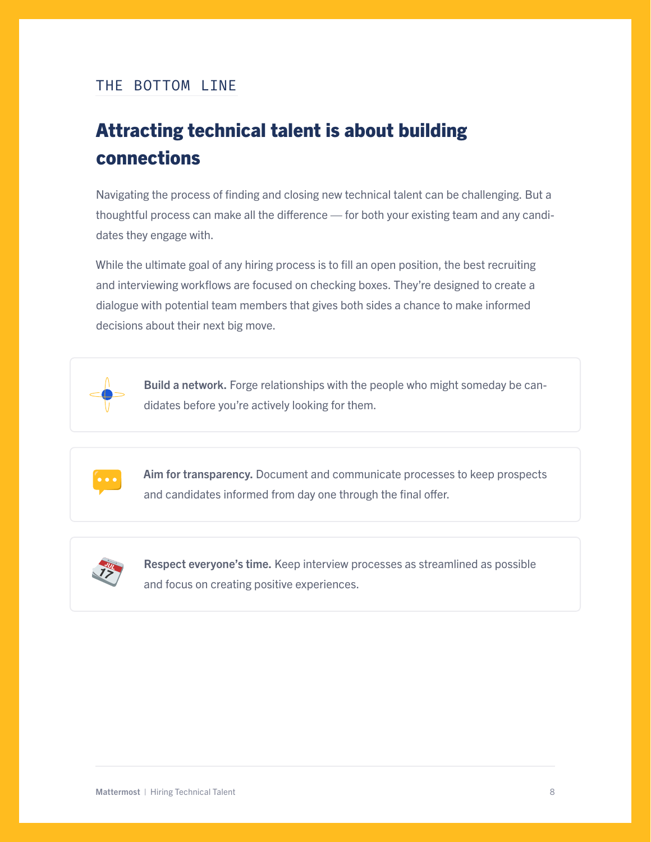#### THE BOTTOM LINE

# Attracting technical talent is about building connections

Navigating the process of finding and closing new technical talent can be challenging. But a thoughtful process can make all the difference — for both your existing team and any candidates they engage with.

While the ultimate goal of any hiring process is to fill an open position, the best recruiting and interviewing workflows are focused on checking boxes. They're designed to create a dialogue with potential team members that gives both sides a chance to make informed decisions about their next big move.



Build a network. Forge relationships with the people who might someday be candidates before you're actively looking for them.



Aim for transparency. Document and communicate processes to keep prospects and candidates informed from day one through the final offer.



Respect everyone's time. Keep interview processes as streamlined as possible and focus on creating positive experiences.